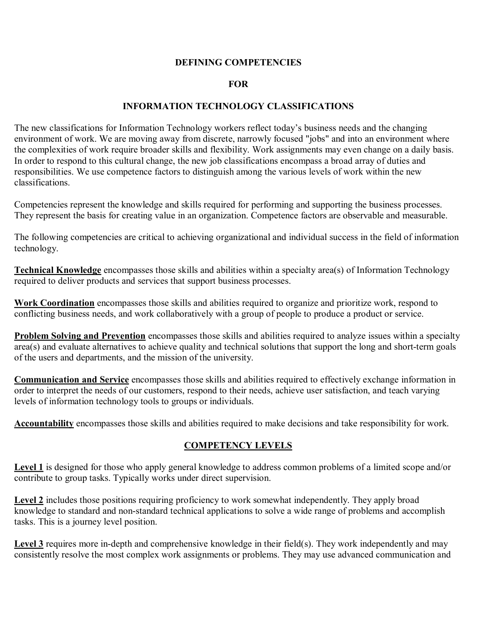## **DEFINING COMPETENCIES**

## **FOR**

## **INFORMATION TECHNOLOGY CLASSIFICATIONS**

The new classifications for Information Technology workers reflect today's business needs and the changing environment of work. We are moving away from discrete, narrowly focused "jobs" and into an environment where the complexities of work require broader skills and flexibility. Work assignments may even change on a daily basis. In order to respond to this cultural change, the new job classifications encompass a broad array of duties and responsibilities. We use competence factors to distinguish among the various levels of work within the new classifications.

Competencies represent the knowledge and skills required for performing and supporting the business processes. They represent the basis for creating value in an organization. Competence factors are observable and measurable.

The following competencies are critical to achieving organizational and individual success in the field of information technology.

**Technical Knowledge** encompasses those skills and abilities within a specialty area(s) of Information Technology required to deliver products and services that support business processes.

**Work Coordination** encompasses those skills and abilities required to organize and prioritize work, respond to conflicting business needs, and work collaboratively with a group of people to produce a product or service.

**Problem Solving and Prevention** encompasses those skills and abilities required to analyze issues within a specialty area(s) and evaluate alternatives to achieve quality and technical solutions that support the long and short-term goals of the users and departments, and the mission of the university.

**Communication and Service** encompasses those skills and abilities required to effectively exchange information in order to interpret the needs of our customers, respond to their needs, achieve user satisfaction, and teach varying levels of information technology tools to groups or individuals.

**Accountability** encompasses those skills and abilities required to make decisions and take responsibility for work.

## **COMPETENCY LEVELS**

**Level 1** is designed for those who apply general knowledge to address common problems of a limited scope and/or contribute to group tasks. Typically works under direct supervision.

Level 2 includes those positions requiring proficiency to work somewhat independently. They apply broad knowledge to standard and nonstandard technical applications to solve a wide range of problems and accomplish tasks. This is a journey level position.

Level  $\beta$  requires more in-depth and comprehensive knowledge in their field(s). They work independently and may consistently resolve the most complex work assignments or problems. They may use advanced communication and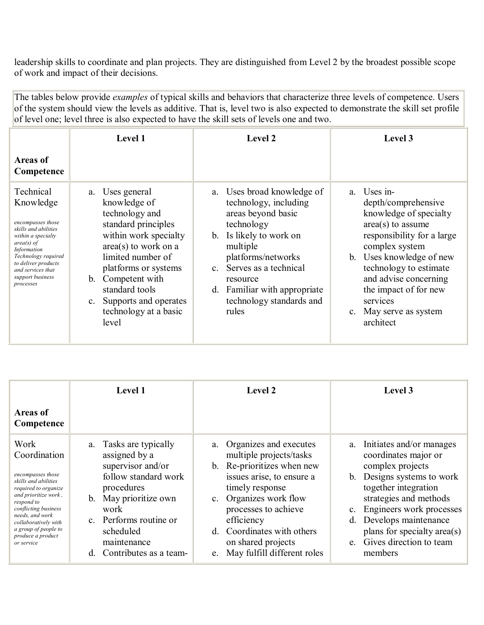leadership skills to coordinate and plan projects. They are distinguished from Level 2 by the broadest possible scope of work and impact of their decisions.

The tables below provide *examples* of typical skills and behaviors that characterize three levels of competence. Users of the system should view the levels as additive. That is, level two is also expected to demonstrate the skill set profile of level one; level three is also expected to have the skill sets of levels one and two.

|                                                                                                                                                                                                                                     | Level 1                                                                                                                                                                                                                                                                                              | Level 2                                                                                                                                                                                                                                                                              | Level 3                                                                                                                                                                                                                                                                                                         |
|-------------------------------------------------------------------------------------------------------------------------------------------------------------------------------------------------------------------------------------|------------------------------------------------------------------------------------------------------------------------------------------------------------------------------------------------------------------------------------------------------------------------------------------------------|--------------------------------------------------------------------------------------------------------------------------------------------------------------------------------------------------------------------------------------------------------------------------------------|-----------------------------------------------------------------------------------------------------------------------------------------------------------------------------------------------------------------------------------------------------------------------------------------------------------------|
| <b>Areas of</b><br>Competence                                                                                                                                                                                                       |                                                                                                                                                                                                                                                                                                      |                                                                                                                                                                                                                                                                                      |                                                                                                                                                                                                                                                                                                                 |
| Technical<br>Knowledge<br>encompasses those<br>skills and abilities<br>within a specialty<br>$area(s)$ of<br><i>Information</i><br>Technology required<br>to deliver products<br>and services that<br>support business<br>processes | Uses general<br>a.<br>knowledge of<br>technology and<br>standard principles<br>within work specialty<br>$area(s)$ to work on a<br>limited number of<br>platforms or systems<br>Competent with<br>$b_{-}$<br>standard tools<br>Supports and operates<br>$c_{\cdot}$<br>technology at a basic<br>level | Uses broad knowledge of<br>a.<br>technology, including<br>areas beyond basic<br>technology<br>b. Is likely to work on<br>multiple<br>platforms/networks<br>Serves as a technical<br>$\mathbf{c}$<br>resource<br>Familiar with appropriate<br>d.<br>technology standards and<br>rules | Uses in-<br>a<br>depth/comprehensive<br>knowledge of specialty<br>$area(s)$ to assume<br>responsibility for a large<br>complex system<br>Uses knowledge of new<br>b.<br>technology to estimate<br>and advise concerning<br>the impact of for new<br>services<br>May serve as system<br>$c_{\cdot}$<br>architect |

|                                                                                                                                                                                                                                                               | <b>Level 1</b>                                                                                                                                                                                                                        | <b>Level 2</b>                                                                                                                                                                                                                                                                                              | Level 3                                                                                                                                                                                                                                                                                      |
|---------------------------------------------------------------------------------------------------------------------------------------------------------------------------------------------------------------------------------------------------------------|---------------------------------------------------------------------------------------------------------------------------------------------------------------------------------------------------------------------------------------|-------------------------------------------------------------------------------------------------------------------------------------------------------------------------------------------------------------------------------------------------------------------------------------------------------------|----------------------------------------------------------------------------------------------------------------------------------------------------------------------------------------------------------------------------------------------------------------------------------------------|
| <b>Areas of</b><br>Competence                                                                                                                                                                                                                                 |                                                                                                                                                                                                                                       |                                                                                                                                                                                                                                                                                                             |                                                                                                                                                                                                                                                                                              |
| Work<br>Coordination<br>encompasses those<br>skills and abilities<br>required to organize<br>and prioritize work,<br>respond to<br>conflicting business<br>needs, and work<br>collaboratively with<br>a group of people to<br>produce a product<br>or service | a. Tasks are typically<br>assigned by a<br>supervisor and/or<br>follow standard work<br>procedures<br>May prioritize own<br>$b_{\cdot}$<br>work<br>c. Performs routine or<br>scheduled<br>maintenance<br>Contributes as a team-<br>d. | Organizes and executes<br>a.<br>multiple projects/tasks<br>b. Re-prioritizes when new<br>issues arise, to ensure a<br>timely response<br>Organizes work flow<br>$c_{\cdot}$<br>processes to achieve<br>efficiency<br>Coordinates with others<br>d –<br>on shared projects<br>e. May fulfill different roles | a. Initiates and/or manages<br>coordinates major or<br>complex projects<br>b. Designs systems to work<br>together integration<br>strategies and methods<br>c. Engineers work processes<br>Develops maintenance<br>d.<br>plans for specialty area(s)<br>e. Gives direction to team<br>members |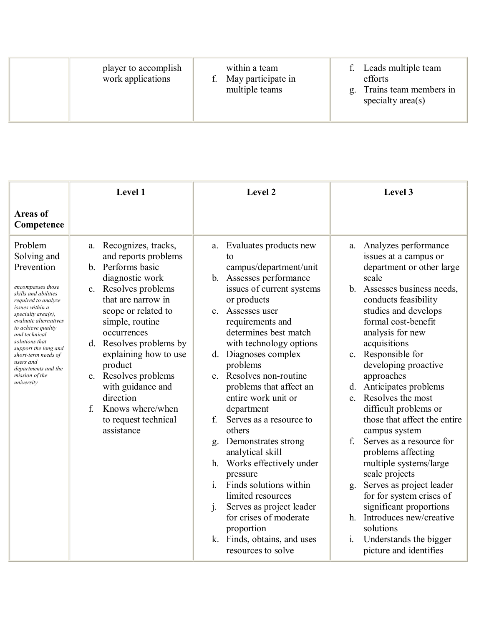| specialty $area(s)$ |
|---------------------|
|                     |

|                                                                                                                                                                                                                                                                                                                                                        | Level 1                                                                                                                                                                                                                                                                                                                                                                                  | Level 2                                                                                                                                                                                                                                                                                                                                                                                                                                                                                                                                                                                                                                                                                                                 | Level 3                                                                                                                                                                                                                                                                                                                                                                                                                                                                                                                                                                                                                                                                                                                    |
|--------------------------------------------------------------------------------------------------------------------------------------------------------------------------------------------------------------------------------------------------------------------------------------------------------------------------------------------------------|------------------------------------------------------------------------------------------------------------------------------------------------------------------------------------------------------------------------------------------------------------------------------------------------------------------------------------------------------------------------------------------|-------------------------------------------------------------------------------------------------------------------------------------------------------------------------------------------------------------------------------------------------------------------------------------------------------------------------------------------------------------------------------------------------------------------------------------------------------------------------------------------------------------------------------------------------------------------------------------------------------------------------------------------------------------------------------------------------------------------------|----------------------------------------------------------------------------------------------------------------------------------------------------------------------------------------------------------------------------------------------------------------------------------------------------------------------------------------------------------------------------------------------------------------------------------------------------------------------------------------------------------------------------------------------------------------------------------------------------------------------------------------------------------------------------------------------------------------------------|
| <b>Areas of</b><br>Competence                                                                                                                                                                                                                                                                                                                          |                                                                                                                                                                                                                                                                                                                                                                                          |                                                                                                                                                                                                                                                                                                                                                                                                                                                                                                                                                                                                                                                                                                                         |                                                                                                                                                                                                                                                                                                                                                                                                                                                                                                                                                                                                                                                                                                                            |
| Problem<br>Solving and<br>Prevention<br>encompasses those<br>skills and abilities<br>required to analyze<br>issues within a<br>specialty area(s),<br>evaluate alternatives<br>to achieve quality<br>and technical<br>solutions that<br>support the long and<br>short-term needs of<br>users and<br>departments and the<br>mission of the<br>university | Recognizes, tracks,<br>a.<br>and reports problems<br>b. Performs basic<br>diagnostic work<br>c. Resolves problems<br>that are narrow in<br>scope or related to<br>simple, routine<br>occurrences<br>d. Resolves problems by<br>explaining how to use<br>product<br>e. Resolves problems<br>with guidance and<br>direction<br>Knows where/when<br>f<br>to request technical<br>assistance | Evaluates products new<br>a.<br>tο<br>campus/department/unit<br>b. Assesses performance<br>issues of current systems<br>or products<br>c. Assesses user<br>requirements and<br>determines best match<br>with technology options<br>d. Diagnoses complex<br>problems<br>e. Resolves non-routine<br>problems that affect an<br>entire work unit or<br>department<br>Serves as a resource to<br>$f_{\cdot}$<br>others<br>Demonstrates strong<br>g.<br>analytical skill<br>h. Works effectively under<br>pressure<br>Finds solutions within<br>$\mathbf{1}$<br>limited resources<br>$\mathbf{i}$ .<br>Serves as project leader<br>for crises of moderate<br>proportion<br>k. Finds, obtains, and uses<br>resources to solve | Analyzes performance<br>a.<br>issues at a campus or<br>department or other large<br>scale<br>b. Assesses business needs,<br>conducts feasibility<br>studies and develops<br>formal cost-benefit<br>analysis for new<br>acquisitions<br>c. Responsible for<br>developing proactive<br>approaches<br>d. Anticipates problems<br>e. Resolves the most<br>difficult problems or<br>those that affect the entire<br>campus system<br>Serves as a resource for<br>f<br>problems affecting<br>multiple systems/large<br>scale projects<br>Serves as project leader<br>g.<br>for for system crises of<br>significant proportions<br>h. Introduces new/creative<br>solutions<br>i. Understands the bigger<br>picture and identifies |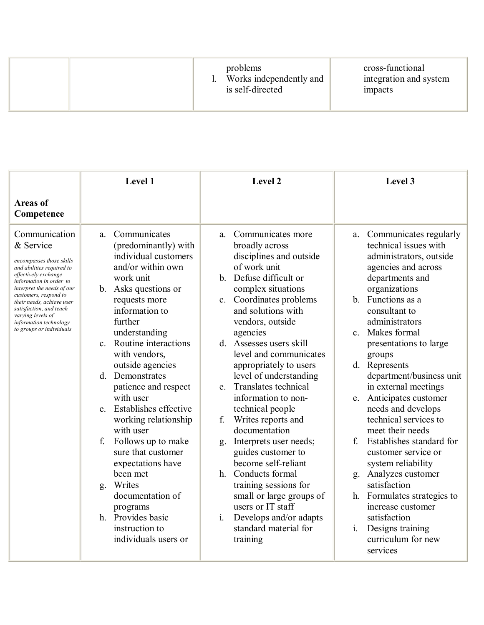|  | problems<br>Works independently and<br>is self-directed | cross-functional<br>integration and system<br>impacts |
|--|---------------------------------------------------------|-------------------------------------------------------|
|--|---------------------------------------------------------|-------------------------------------------------------|

|                                                                                                                                                                                                                                                                                                                                  | Level 1                                                                                                                                                                                                                                                                                                                                                                                                                                                                                                                                                                             | Level 2                                                                                                                                                                                                                                                                                                                                                                                                                                                                                                                                                                                                                                                                                             | Level 3                                                                                                                                                                                                                                                                                                                                                                                                                                                                                                                                                                                                                                                                             |
|----------------------------------------------------------------------------------------------------------------------------------------------------------------------------------------------------------------------------------------------------------------------------------------------------------------------------------|-------------------------------------------------------------------------------------------------------------------------------------------------------------------------------------------------------------------------------------------------------------------------------------------------------------------------------------------------------------------------------------------------------------------------------------------------------------------------------------------------------------------------------------------------------------------------------------|-----------------------------------------------------------------------------------------------------------------------------------------------------------------------------------------------------------------------------------------------------------------------------------------------------------------------------------------------------------------------------------------------------------------------------------------------------------------------------------------------------------------------------------------------------------------------------------------------------------------------------------------------------------------------------------------------------|-------------------------------------------------------------------------------------------------------------------------------------------------------------------------------------------------------------------------------------------------------------------------------------------------------------------------------------------------------------------------------------------------------------------------------------------------------------------------------------------------------------------------------------------------------------------------------------------------------------------------------------------------------------------------------------|
| <b>Areas of</b><br>Competence                                                                                                                                                                                                                                                                                                    |                                                                                                                                                                                                                                                                                                                                                                                                                                                                                                                                                                                     |                                                                                                                                                                                                                                                                                                                                                                                                                                                                                                                                                                                                                                                                                                     |                                                                                                                                                                                                                                                                                                                                                                                                                                                                                                                                                                                                                                                                                     |
| Communication<br>& Service<br>encompasses those skills<br>and abilities required to<br>effectively exchange<br>information in order to<br>interpret the needs of our<br>customers, respond to<br>their needs, achieve user<br>satisfaction, and teach<br>varving levels of<br>information technology<br>to groups or individuals | Communicates<br>a.<br>(predominantly) with<br>individual customers<br>and/or within own<br>work unit<br>b. Asks questions or<br>requests more<br>information to<br>further<br>understanding<br>c. Routine interactions<br>with vendors,<br>outside agencies<br>d. Demonstrates<br>patience and respect<br>with user<br>e. Establishes effective<br>working relationship<br>with user<br>f.<br>Follows up to make<br>sure that customer<br>expectations have<br>been met<br>g. Writes<br>documentation of<br>programs<br>h. Provides basic<br>instruction to<br>individuals users or | Communicates more<br>a.<br>broadly across<br>disciplines and outside<br>of work unit<br>b. Defuse difficult or<br>complex situations<br>c. Coordinates problems<br>and solutions with<br>vendors, outside<br>agencies<br>d. Assesses users skill<br>level and communicates<br>appropriately to users<br>level of understanding<br>e. Translates technical<br>information to non-<br>technical people<br>f.<br>Writes reports and<br>documentation<br>Interprets user needs;<br>g.<br>guides customer to<br>become self-reliant<br>h. Conducts formal<br>training sessions for<br>small or large groups of<br>users or IT staff<br>Develops and/or adapts<br>1.<br>standard material for<br>training | a. Communicates regularly<br>technical issues with<br>administrators, outside<br>agencies and across<br>departments and<br>organizations<br>b. Functions as a<br>consultant to<br>administrators<br>c. Makes formal<br>presentations to large<br>groups<br>d. Represents<br>department/business unit<br>in external meetings<br>Anticipates customer<br>e.<br>needs and develops<br>technical services to<br>meet their needs<br>Establishes standard for<br>f<br>customer service or<br>system reliability<br>g. Analyzes customer<br>satisfaction<br>h. Formulates strategies to<br>increase customer<br>satisfaction<br>Designs training<br>1.<br>curriculum for new<br>services |